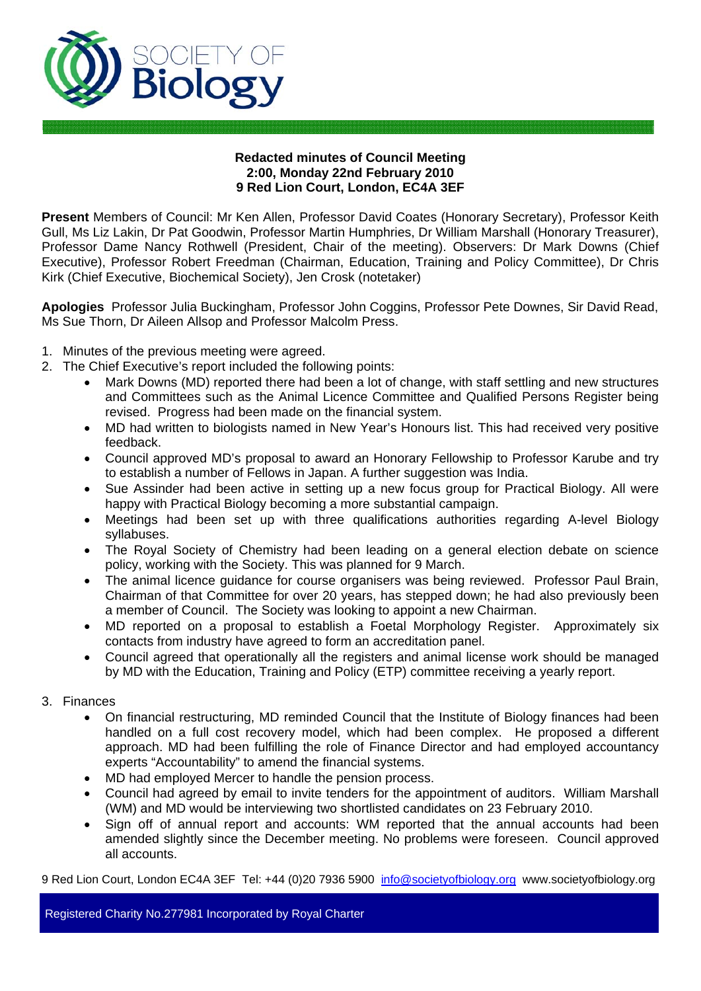

#### **Redacted minutes of Council Meeting 2:00, Monday 22nd February 2010 9 Red Lion Court, London, EC4A 3EF**

**Present** Members of Council: Mr Ken Allen, Professor David Coates (Honorary Secretary), Professor Keith Gull, Ms Liz Lakin, Dr Pat Goodwin, Professor Martin Humphries, Dr William Marshall (Honorary Treasurer), Professor Dame Nancy Rothwell (President, Chair of the meeting). Observers: Dr Mark Downs (Chief Executive), Professor Robert Freedman (Chairman, Education, Training and Policy Committee), Dr Chris Kirk (Chief Executive, Biochemical Society), Jen Crosk (notetaker)

**Apologies** Professor Julia Buckingham, Professor John Coggins, Professor Pete Downes, Sir David Read, Ms Sue Thorn, Dr Aileen Allsop and Professor Malcolm Press.

- 1. Minutes of the previous meeting were agreed.
- 2. The Chief Executive's report included the following points:
	- Mark Downs (MD) reported there had been a lot of change, with staff settling and new structures and Committees such as the Animal Licence Committee and Qualified Persons Register being revised. Progress had been made on the financial system.
	- MD had written to biologists named in New Year's Honours list. This had received very positive feedback.
	- Council approved MD's proposal to award an Honorary Fellowship to Professor Karube and try to establish a number of Fellows in Japan. A further suggestion was India.
	- Sue Assinder had been active in setting up a new focus group for Practical Biology. All were happy with Practical Biology becoming a more substantial campaign.
	- Meetings had been set up with three qualifications authorities regarding A-level Biology syllabuses.
	- The Royal Society of Chemistry had been leading on a general election debate on science policy, working with the Society. This was planned for 9 March.
	- The animal licence guidance for course organisers was being reviewed. Professor Paul Brain, Chairman of that Committee for over 20 years, has stepped down; he had also previously been a member of Council. The Society was looking to appoint a new Chairman.
	- MD reported on a proposal to establish a Foetal Morphology Register. Approximately six contacts from industry have agreed to form an accreditation panel.
	- Council agreed that operationally all the registers and animal license work should be managed by MD with the Education, Training and Policy (ETP) committee receiving a yearly report.
- 3. Finances
	- On financial restructuring, MD reminded Council that the Institute of Biology finances had been handled on a full cost recovery model, which had been complex. He proposed a different approach. MD had been fulfilling the role of Finance Director and had employed accountancy experts "Accountability" to amend the financial systems.
	- MD had employed Mercer to handle the pension process.
	- Council had agreed by email to invite tenders for the appointment of auditors. William Marshall (WM) and MD would be interviewing two shortlisted candidates on 23 February 2010.
	- Sign off of annual report and accounts: WM reported that the annual accounts had been amended slightly since the December meeting. No problems were foreseen. Council approved all accounts.

9 Red Lion Court, London EC4A 3EF Tel: +44 (0)20 7936 5900 info@societyofbiology.org www.societyofbiology.org

Registered Charity No.277981 Incorporated by Royal Charter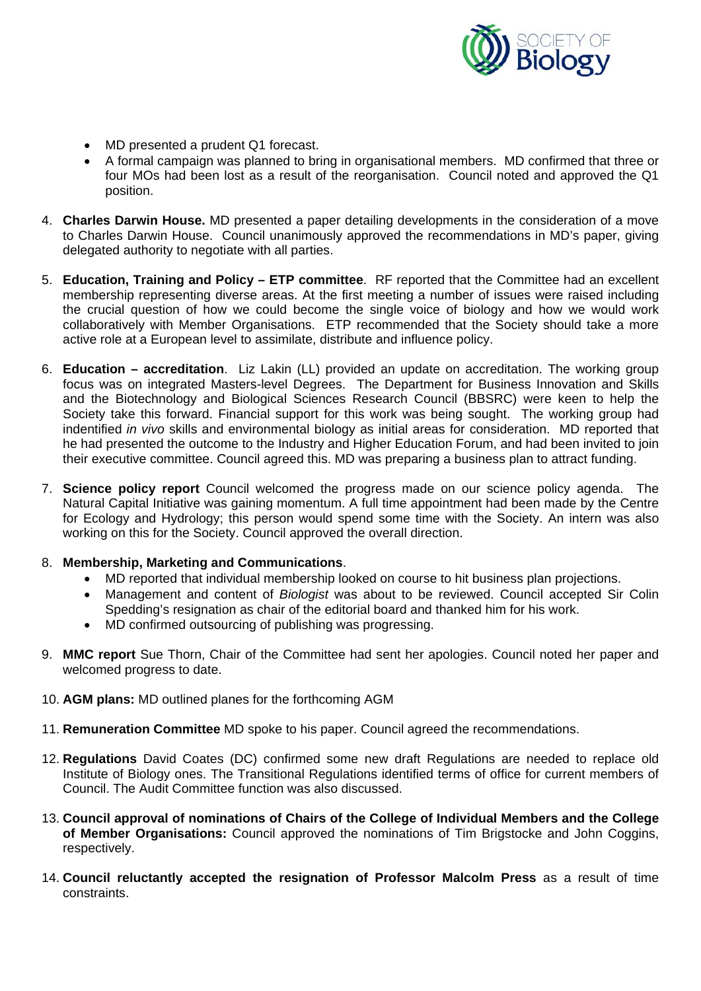

- MD presented a prudent Q1 forecast.
- A formal campaign was planned to bring in organisational members. MD confirmed that three or four MOs had been lost as a result of the reorganisation. Council noted and approved the Q1 position.
- 4. **Charles Darwin House.** MD presented a paper detailing developments in the consideration of a move to Charles Darwin House. Council unanimously approved the recommendations in MD's paper, giving delegated authority to negotiate with all parties.
- 5. **Education, Training and Policy ETP committee**. RF reported that the Committee had an excellent membership representing diverse areas. At the first meeting a number of issues were raised including the crucial question of how we could become the single voice of biology and how we would work collaboratively with Member Organisations. ETP recommended that the Society should take a more active role at a European level to assimilate, distribute and influence policy.
- 6. **Education accreditation**. Liz Lakin (LL) provided an update on accreditation. The working group focus was on integrated Masters-level Degrees. The Department for Business Innovation and Skills and the Biotechnology and Biological Sciences Research Council (BBSRC) were keen to help the Society take this forward. Financial support for this work was being sought. The working group had indentified *in vivo* skills and environmental biology as initial areas for consideration. MD reported that he had presented the outcome to the Industry and Higher Education Forum, and had been invited to join their executive committee. Council agreed this. MD was preparing a business plan to attract funding.
- 7. **Science policy report** Council welcomed the progress made on our science policy agenda. The Natural Capital Initiative was gaining momentum. A full time appointment had been made by the Centre for Ecology and Hydrology; this person would spend some time with the Society. An intern was also working on this for the Society. Council approved the overall direction.

#### 8. **Membership, Marketing and Communications**.

- MD reported that individual membership looked on course to hit business plan projections.
- Management and content of *Biologist* was about to be reviewed. Council accepted Sir Colin Spedding's resignation as chair of the editorial board and thanked him for his work.
- MD confirmed outsourcing of publishing was progressing.
- 9. **MMC report** Sue Thorn, Chair of the Committee had sent her apologies. Council noted her paper and welcomed progress to date.
- 10. **AGM plans:** MD outlined planes for the forthcoming AGM
- 11. **Remuneration Committee** MD spoke to his paper. Council agreed the recommendations.
- 12. **Regulations** David Coates (DC) confirmed some new draft Regulations are needed to replace old Institute of Biology ones. The Transitional Regulations identified terms of office for current members of Council. The Audit Committee function was also discussed.
- 13. **Council approval of nominations of Chairs of the College of Individual Members and the College of Member Organisations:** Council approved the nominations of Tim Brigstocke and John Coggins, respectively.
- 14. **Council reluctantly accepted the resignation of Professor Malcolm Press** as a result of time constraints.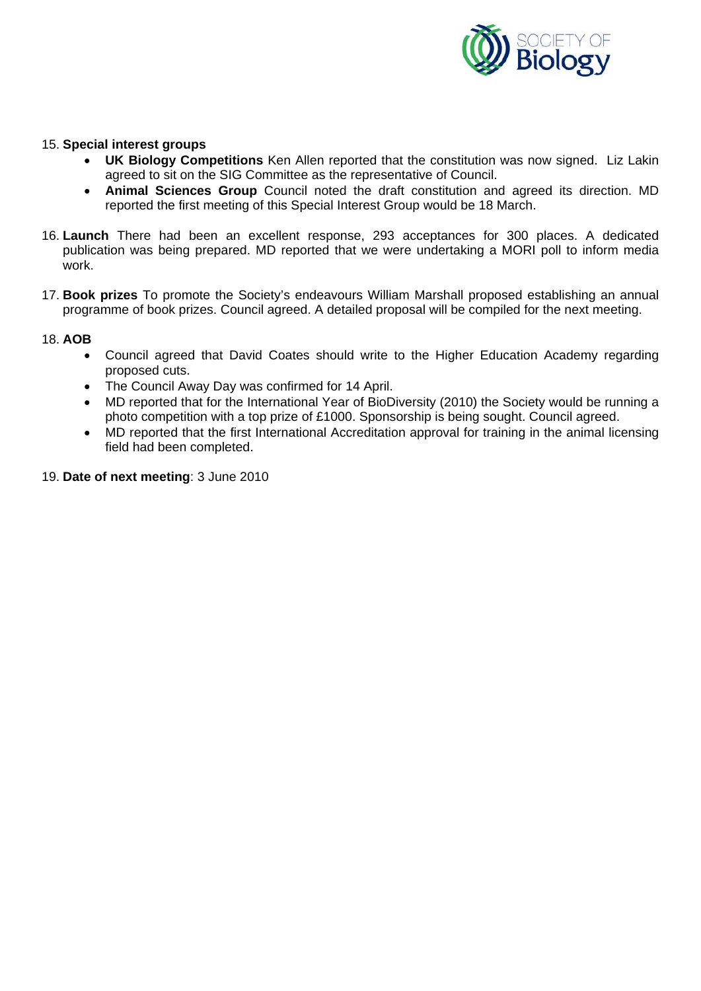

#### 15. **Special interest groups**

- **UK Biology Competitions** Ken Allen reported that the constitution was now signed. Liz Lakin agreed to sit on the SIG Committee as the representative of Council.
- **Animal Sciences Group** Council noted the draft constitution and agreed its direction. MD reported the first meeting of this Special Interest Group would be 18 March.
- 16. **Launch** There had been an excellent response, 293 acceptances for 300 places. A dedicated publication was being prepared. MD reported that we were undertaking a MORI poll to inform media work.
- 17. **Book prizes** To promote the Society's endeavours William Marshall proposed establishing an annual programme of book prizes. Council agreed. A detailed proposal will be compiled for the next meeting.

#### 18. **AOB**

- Council agreed that David Coates should write to the Higher Education Academy regarding proposed cuts.
- The Council Away Day was confirmed for 14 April.
- MD reported that for the International Year of BioDiversity (2010) the Society would be running a photo competition with a top prize of £1000. Sponsorship is being sought. Council agreed.
- MD reported that the first International Accreditation approval for training in the animal licensing field had been completed.
- 19. **Date of next meeting**: 3 June 2010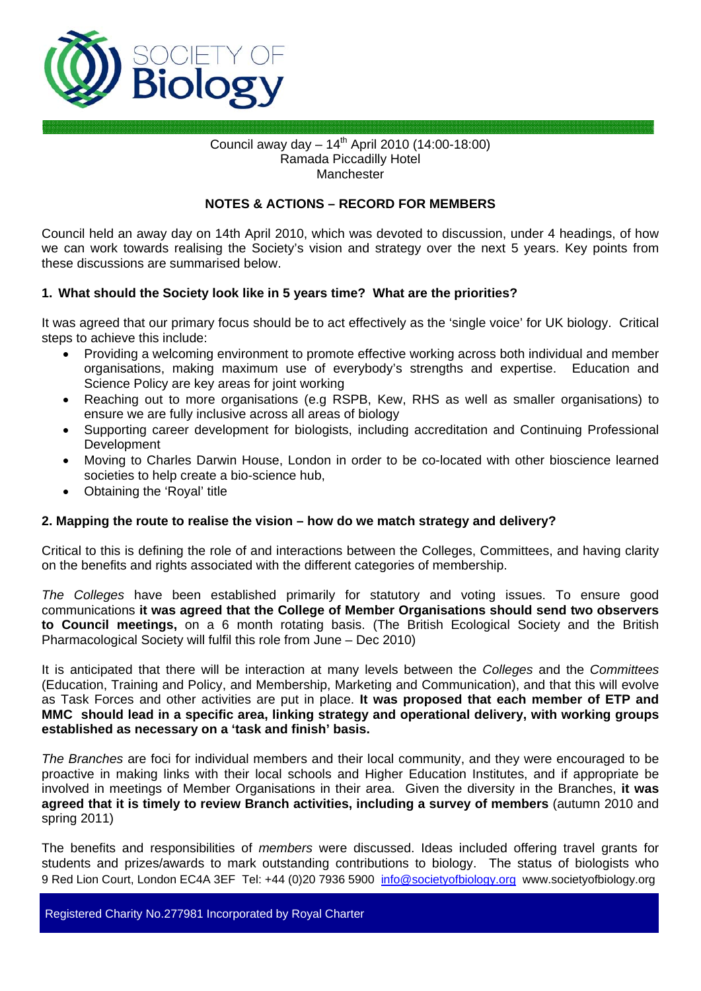

#### Council away day  $-14^{th}$  April 2010 (14:00-18:00) Ramada Piccadilly Hotel Manchester

#### **NOTES & ACTIONS – RECORD FOR MEMBERS**

Council held an away day on 14th April 2010, which was devoted to discussion, under 4 headings, of how we can work towards realising the Society's vision and strategy over the next 5 years. Key points from these discussions are summarised below.

#### **1. What should the Society look like in 5 years time? What are the priorities?**

It was agreed that our primary focus should be to act effectively as the 'single voice' for UK biology. Critical steps to achieve this include:

- Providing a welcoming environment to promote effective working across both individual and member organisations, making maximum use of everybody's strengths and expertise. Education and Science Policy are key areas for joint working
- Reaching out to more organisations (e.g RSPB, Kew, RHS as well as smaller organisations) to ensure we are fully inclusive across all areas of biology
- Supporting career development for biologists, including accreditation and Continuing Professional Development
- Moving to Charles Darwin House, London in order to be co-located with other bioscience learned societies to help create a bio-science hub,
- Obtaining the 'Royal' title

#### **2. Mapping the route to realise the vision – how do we match strategy and delivery?**

Critical to this is defining the role of and interactions between the Colleges, Committees, and having clarity on the benefits and rights associated with the different categories of membership.

*The Colleges* have been established primarily for statutory and voting issues. To ensure good communications **it was agreed that the College of Member Organisations should send two observers to Council meetings,** on a 6 month rotating basis. (The British Ecological Society and the British Pharmacological Society will fulfil this role from June – Dec 2010)

It is anticipated that there will be interaction at many levels between the *Colleges* and the *Committees* (Education, Training and Policy, and Membership, Marketing and Communication), and that this will evolve as Task Forces and other activities are put in place. **It was proposed that each member of ETP and MMC should lead in a specific area, linking strategy and operational delivery, with working groups established as necessary on a 'task and finish' basis.** 

*The Branches* are foci for individual members and their local community, and they were encouraged to be proactive in making links with their local schools and Higher Education Institutes, and if appropriate be involved in meetings of Member Organisations in their area. Given the diversity in the Branches, **it was agreed that it is timely to review Branch activities, including a survey of members** (autumn 2010 and spring 2011)

9 Red Lion Court, London EC4A 3EF Tel: +44 (0)20 7936 5900 info@societyofbiology.org www.societyofbiology.org The benefits and responsibilities of *members* were discussed. Ideas included offering travel grants for students and prizes/awards to mark outstanding contributions to biology. The status of biologists who

Registered Charity No.277981 Incorporated by Royal Charter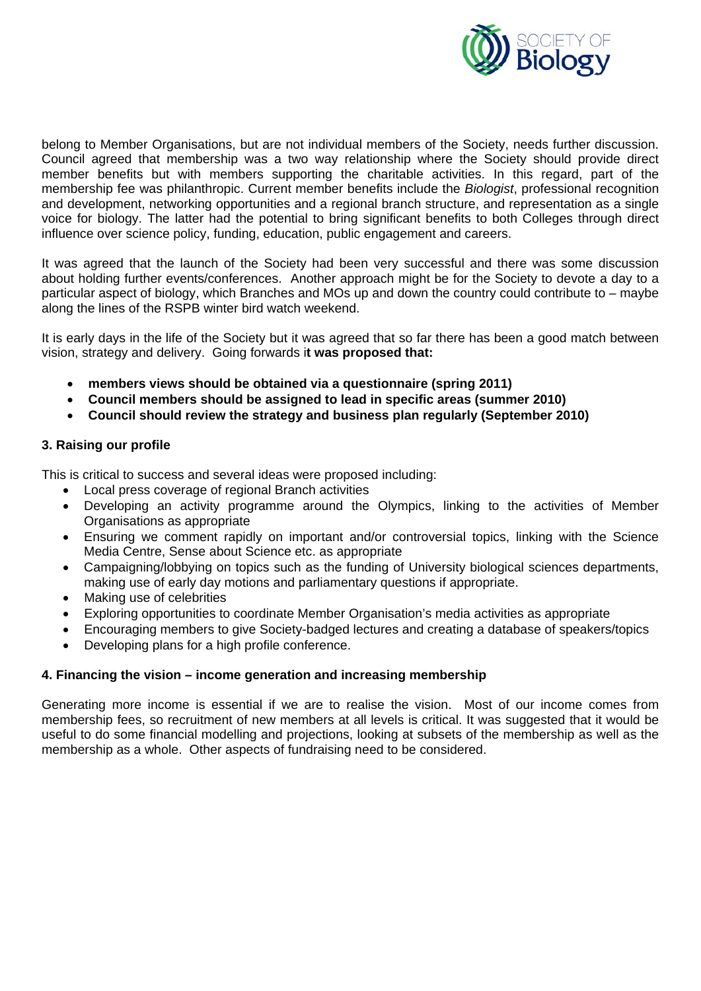

belong to Member Organisations, but are not individual members of the Society, needs further discussion. Council agreed that membership was a two way relationship where the Society should provide direct member benefits but with members supporting the charitable activities. In this regard, part of the membership fee was philanthropic. Current member benefits include the *Biologist*, professional recognition and development, networking opportunities and a regional branch structure, and representation as a single voice for biology. The latter had the potential to bring significant benefits to both Colleges through direct influence over science policy, funding, education, public engagement and careers.

It was agreed that the launch of the Society had been very successful and there was some discussion about holding further events/conferences. Another approach might be for the Society to devote a day to a particular aspect of biology, which Branches and MOs up and down the country could contribute to – maybe along the lines of the RSPB winter bird watch weekend.

It is early days in the life of the Society but it was agreed that so far there has been a good match between vision, strategy and delivery. Going forwards i**t was proposed that:** 

- **members views should be obtained via a questionnaire (spring 2011)**
- **Council members should be assigned to lead in specific areas (summer 2010)**
- **Council should review the strategy and business plan regularly (September 2010)**

### **3. Raising our profile**

This is critical to success and several ideas were proposed including:

- Local press coverage of regional Branch activities
- Developing an activity programme around the Olympics, linking to the activities of Member Organisations as appropriate
- Ensuring we comment rapidly on important and/or controversial topics, linking with the Science Media Centre, Sense about Science etc. as appropriate
- Campaigning/lobbying on topics such as the funding of University biological sciences departments, making use of early day motions and parliamentary questions if appropriate.
- Making use of celebrities
- Exploring opportunities to coordinate Member Organisation's media activities as appropriate
- Encouraging members to give Society-badged lectures and creating a database of speakers/topics
- Developing plans for a high profile conference.

#### **4. Financing the vision – income generation and increasing membership**

Generating more income is essential if we are to realise the vision. Most of our income comes from membership fees, so recruitment of new members at all levels is critical. It was suggested that it would be useful to do some financial modelling and projections, looking at subsets of the membership as well as the membership as a whole. Other aspects of fundraising need to be considered.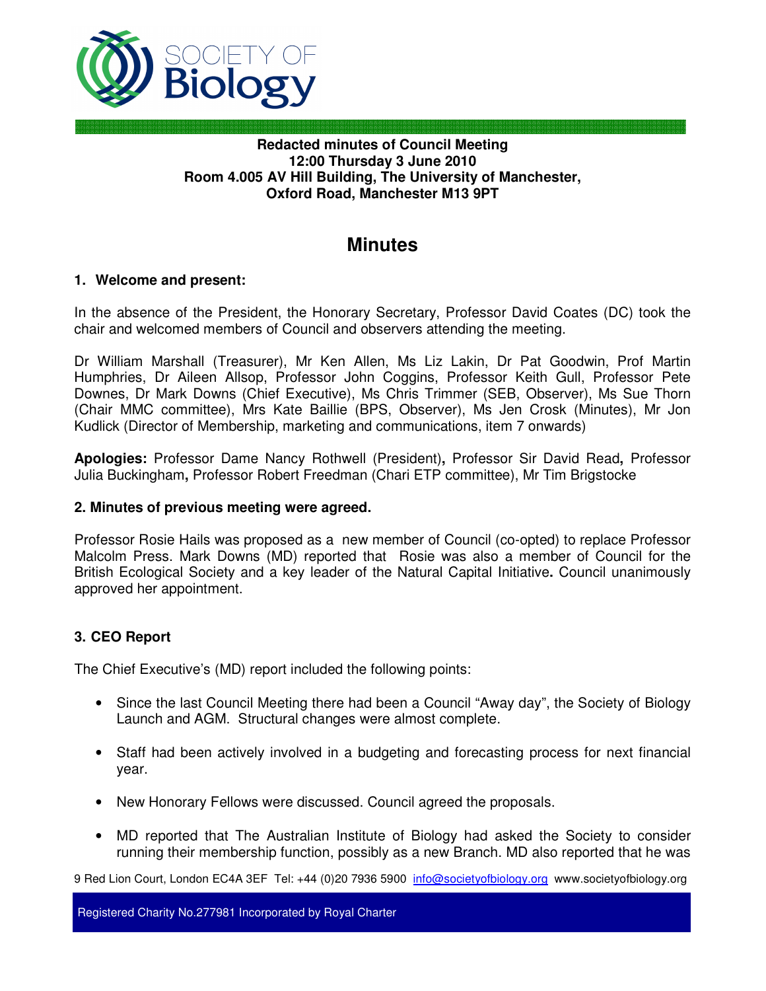

### **Redacted minutes of Council Meeting 12:00 Thursday 3 June 2010 Room 4.005 AV Hill Building, The University of Manchester, Oxford Road, Manchester M13 9PT**

# **Minutes**

### **1. Welcome and present:**

In the absence of the President, the Honorary Secretary, Professor David Coates (DC) took the chair and welcomed members of Council and observers attending the meeting.

Dr William Marshall (Treasurer), Mr Ken Allen, Ms Liz Lakin, Dr Pat Goodwin, Prof Martin Humphries, Dr Aileen Allsop, Professor John Coggins, Professor Keith Gull, Professor Pete Downes, Dr Mark Downs (Chief Executive), Ms Chris Trimmer (SEB, Observer), Ms Sue Thorn (Chair MMC committee), Mrs Kate Baillie (BPS, Observer), Ms Jen Crosk (Minutes), Mr Jon Kudlick (Director of Membership, marketing and communications, item 7 onwards)

**Apologies:** Professor Dame Nancy Rothwell (President)**,** Professor Sir David Read**,** Professor Julia Buckingham**,** Professor Robert Freedman (Chari ETP committee), Mr Tim Brigstocke

#### **2. Minutes of previous meeting were agreed.**

Professor Rosie Hails was proposed as a new member of Council (co-opted) to replace Professor Malcolm Press. Mark Downs (MD) reported that Rosie was also a member of Council for the British Ecological Society and a key leader of the Natural Capital Initiative**.** Council unanimously approved her appointment.

### **3. CEO Report**

The Chief Executive's (MD) report included the following points:

- Since the last Council Meeting there had been a Council "Away day", the Society of Biology Launch and AGM. Structural changes were almost complete.
- Staff had been actively involved in a budgeting and forecasting process for next financial year.
- New Honorary Fellows were discussed. Council agreed the proposals.
- MD reported that The Australian Institute of Biology had asked the Society to consider running their membership function, possibly as a new Branch. MD also reported that he was

9 Red Lion Court, London EC4A 3EF Tel: +44 (0)20 7936 5900 info@societyofbiology.org www.societyofbiology.org

Registered Charity No.277981 Incorporated by Royal Charter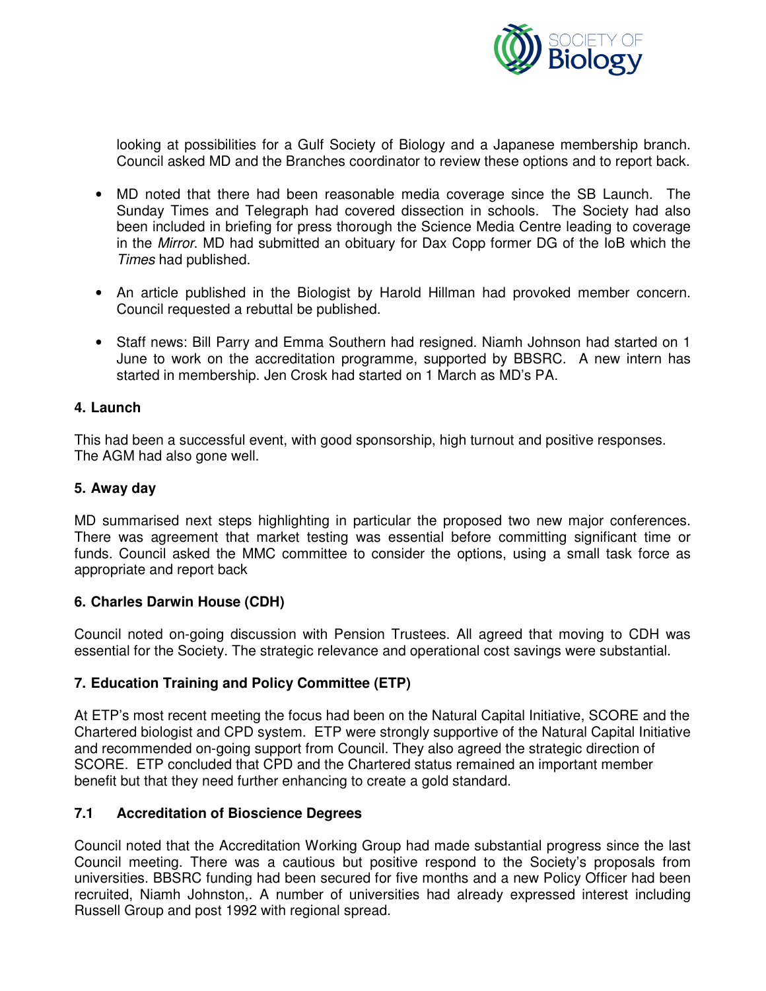

looking at possibilities for a Gulf Society of Biology and a Japanese membership branch. Council asked MD and the Branches coordinator to review these options and to report back.

- MD noted that there had been reasonable media coverage since the SB Launch. The Sunday Times and Telegraph had covered dissection in schools. The Society had also been included in briefing for press thorough the Science Media Centre leading to coverage in the Mirror. MD had submitted an obituary for Dax Copp former DG of the IoB which the Times had published.
- An article published in the Biologist by Harold Hillman had provoked member concern. Council requested a rebuttal be published.
- Staff news: Bill Parry and Emma Southern had resigned. Niamh Johnson had started on 1 June to work on the accreditation programme, supported by BBSRC. A new intern has started in membership. Jen Crosk had started on 1 March as MD's PA.

#### **4. Launch**

This had been a successful event, with good sponsorship, high turnout and positive responses. The AGM had also gone well.

#### **5. Away day**

MD summarised next steps highlighting in particular the proposed two new major conferences. There was agreement that market testing was essential before committing significant time or funds. Council asked the MMC committee to consider the options, using a small task force as appropriate and report back

#### **6. Charles Darwin House (CDH)**

Council noted on-going discussion with Pension Trustees. All agreed that moving to CDH was essential for the Society. The strategic relevance and operational cost savings were substantial.

### **7. Education Training and Policy Committee (ETP)**

At ETP's most recent meeting the focus had been on the Natural Capital Initiative, SCORE and the Chartered biologist and CPD system. ETP were strongly supportive of the Natural Capital Initiative and recommended on-going support from Council. They also agreed the strategic direction of SCORE. ETP concluded that CPD and the Chartered status remained an important member benefit but that they need further enhancing to create a gold standard.

#### **7.1 Accreditation of Bioscience Degrees**

Council noted that the Accreditation Working Group had made substantial progress since the last Council meeting. There was a cautious but positive respond to the Society's proposals from universities. BBSRC funding had been secured for five months and a new Policy Officer had been recruited, Niamh Johnston,. A number of universities had already expressed interest including Russell Group and post 1992 with regional spread.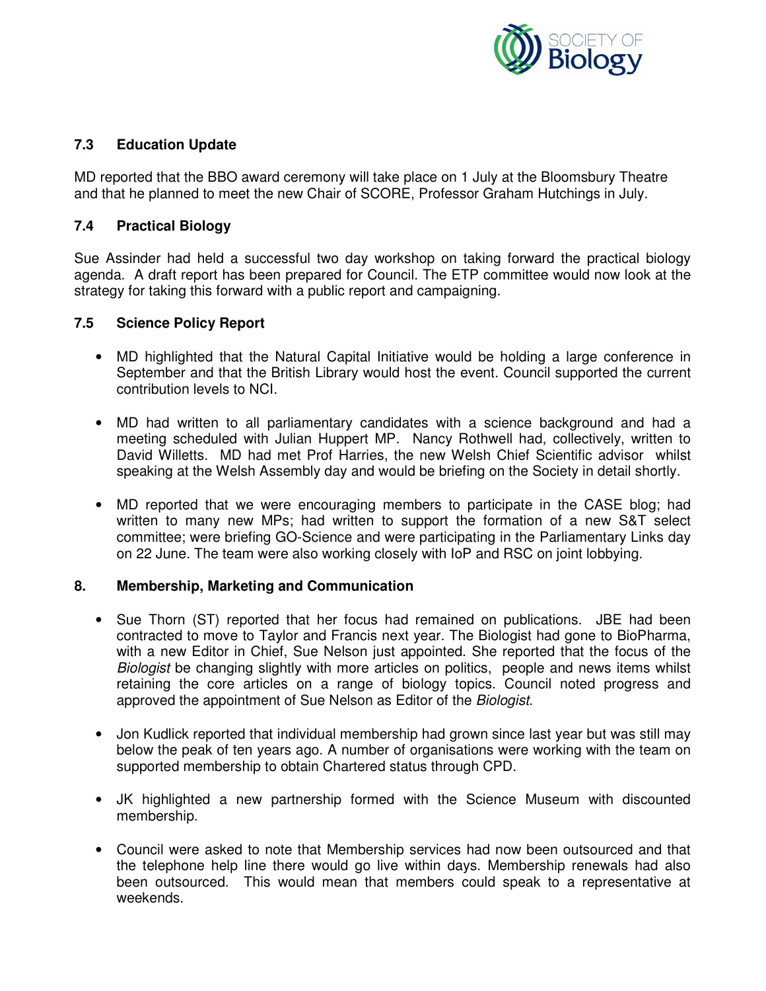

### **7.3 Education Update**

MD reported that the BBO award ceremony will take place on 1 July at the Bloomsbury Theatre and that he planned to meet the new Chair of SCORE, Professor Graham Hutchings in July.

### **7.4 Practical Biology**

Sue Assinder had held a successful two day workshop on taking forward the practical biology agenda. A draft report has been prepared for Council. The ETP committee would now look at the strategy for taking this forward with a public report and campaigning.

### **7.5 Science Policy Report**

- MD highlighted that the Natural Capital Initiative would be holding a large conference in September and that the British Library would host the event. Council supported the current contribution levels to NCI.
- MD had written to all parliamentary candidates with a science background and had a meeting scheduled with Julian Huppert MP. Nancy Rothwell had, collectively, written to David Willetts. MD had met Prof Harries, the new Welsh Chief Scientific advisor whilst speaking at the Welsh Assembly day and would be briefing on the Society in detail shortly.
- MD reported that we were encouraging members to participate in the CASE blog; had written to many new MPs; had written to support the formation of a new S&T select committee; were briefing GO-Science and were participating in the Parliamentary Links day on 22 June. The team were also working closely with IoP and RSC on joint lobbying.

### **8. Membership, Marketing and Communication**

- Sue Thorn (ST) reported that her focus had remained on publications. JBE had been contracted to move to Taylor and Francis next year. The Biologist had gone to BioPharma, with a new Editor in Chief, Sue Nelson just appointed. She reported that the focus of the Biologist be changing slightly with more articles on politics, people and news items whilst retaining the core articles on a range of biology topics. Council noted progress and approved the appointment of Sue Nelson as Editor of the Biologist.
- Jon Kudlick reported that individual membership had grown since last year but was still may below the peak of ten years ago. A number of organisations were working with the team on supported membership to obtain Chartered status through CPD.
- JK highlighted a new partnership formed with the Science Museum with discounted membership.
- Council were asked to note that Membership services had now been outsourced and that the telephone help line there would go live within days. Membership renewals had also been outsourced. This would mean that members could speak to a representative at weekends.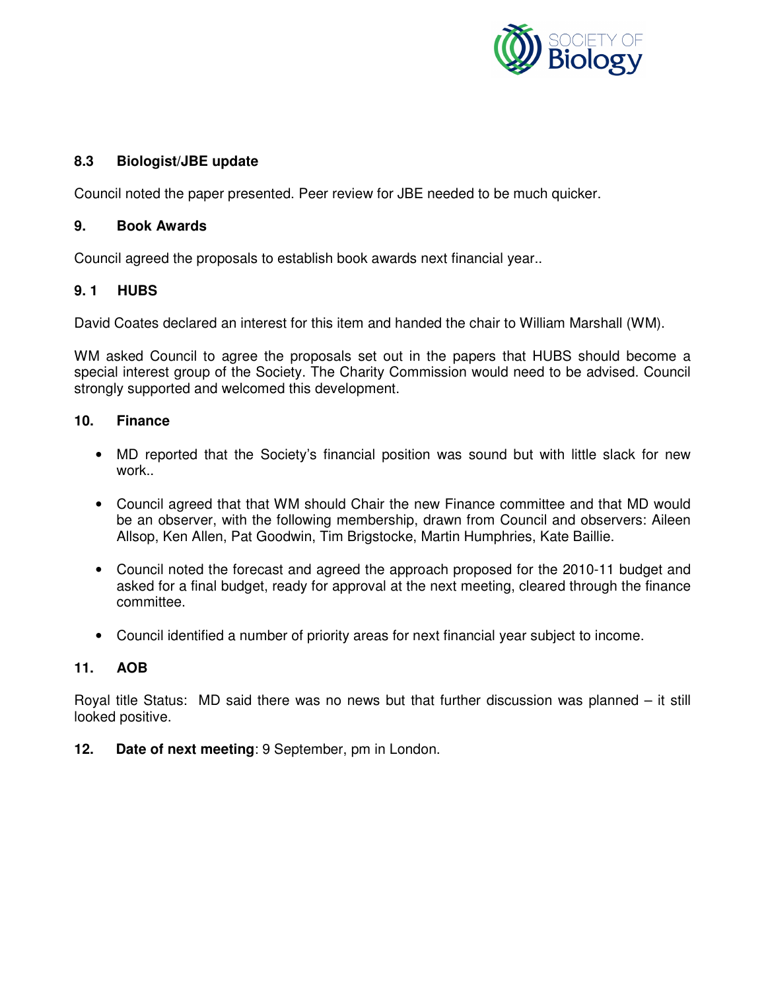

### **8.3 Biologist/JBE update**

Council noted the paper presented. Peer review for JBE needed to be much quicker.

#### **9. Book Awards**

Council agreed the proposals to establish book awards next financial year..

#### **9. 1 HUBS**

David Coates declared an interest for this item and handed the chair to William Marshall (WM).

WM asked Council to agree the proposals set out in the papers that HUBS should become a special interest group of the Society. The Charity Commission would need to be advised. Council strongly supported and welcomed this development.

#### **10. Finance**

- MD reported that the Society's financial position was sound but with little slack for new work..
- Council agreed that that WM should Chair the new Finance committee and that MD would be an observer, with the following membership, drawn from Council and observers: Aileen Allsop, Ken Allen, Pat Goodwin, Tim Brigstocke, Martin Humphries, Kate Baillie.
- Council noted the forecast and agreed the approach proposed for the 2010-11 budget and asked for a final budget, ready for approval at the next meeting, cleared through the finance committee.
- Council identified a number of priority areas for next financial year subject to income.

#### **11. AOB**

Royal title Status: MD said there was no news but that further discussion was planned – it still looked positive.

**12. Date of next meeting**: 9 September, pm in London.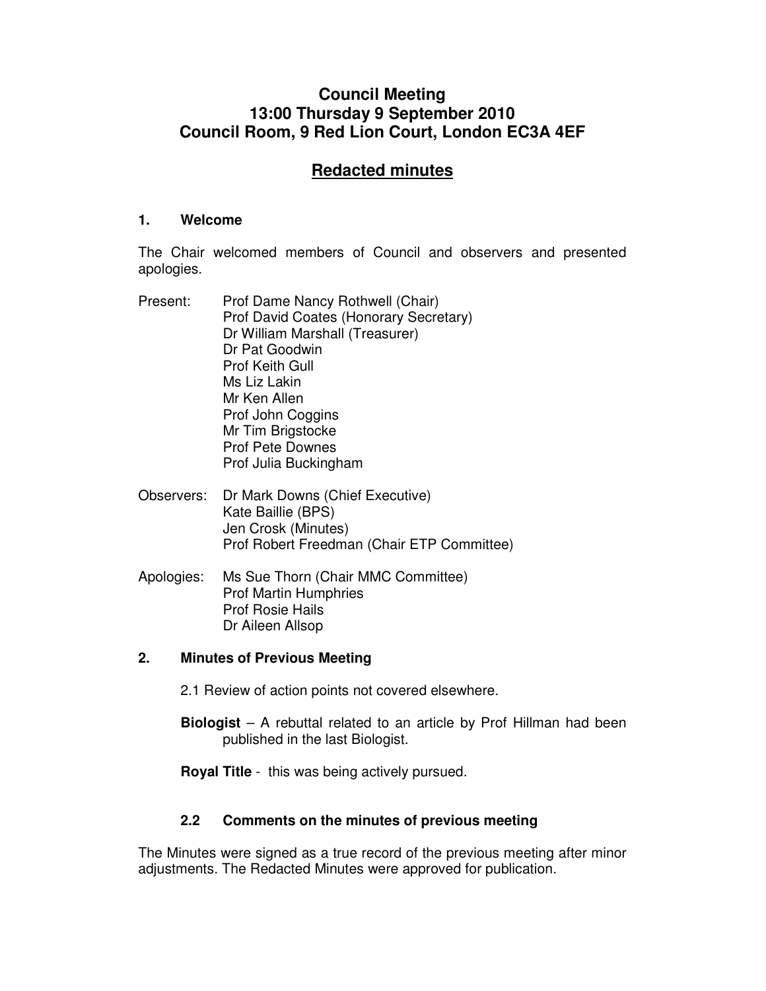# **Council Meeting 13:00 Thursday 9 September 2010 Council Room, 9 Red Lion Court, London EC3A 4EF**

# **Redacted minutes**

#### **1. Welcome**

The Chair welcomed members of Council and observers and presented apologies.

- Present: Prof Dame Nancy Rothwell (Chair) Prof David Coates (Honorary Secretary) Dr William Marshall (Treasurer) Dr Pat Goodwin Prof Keith Gull Ms Liz Lakin Mr Ken Allen Prof John Coggins Mr Tim Brigstocke Prof Pete Downes Prof Julia Buckingham
- Observers: Dr Mark Downs (Chief Executive) Kate Baillie (BPS) Jen Crosk (Minutes) Prof Robert Freedman (Chair ETP Committee)
- Apologies: Ms Sue Thorn (Chair MMC Committee) Prof Martin Humphries Prof Rosie Hails Dr Aileen Allsop

#### **2. Minutes of Previous Meeting**

- 2.1 Review of action points not covered elsewhere.
- **Biologist**  A rebuttal related to an article by Prof Hillman had been published in the last Biologist.
- **Royal Title** this was being actively pursued.

#### **2.2 Comments on the minutes of previous meeting**

The Minutes were signed as a true record of the previous meeting after minor adjustments. The Redacted Minutes were approved for publication.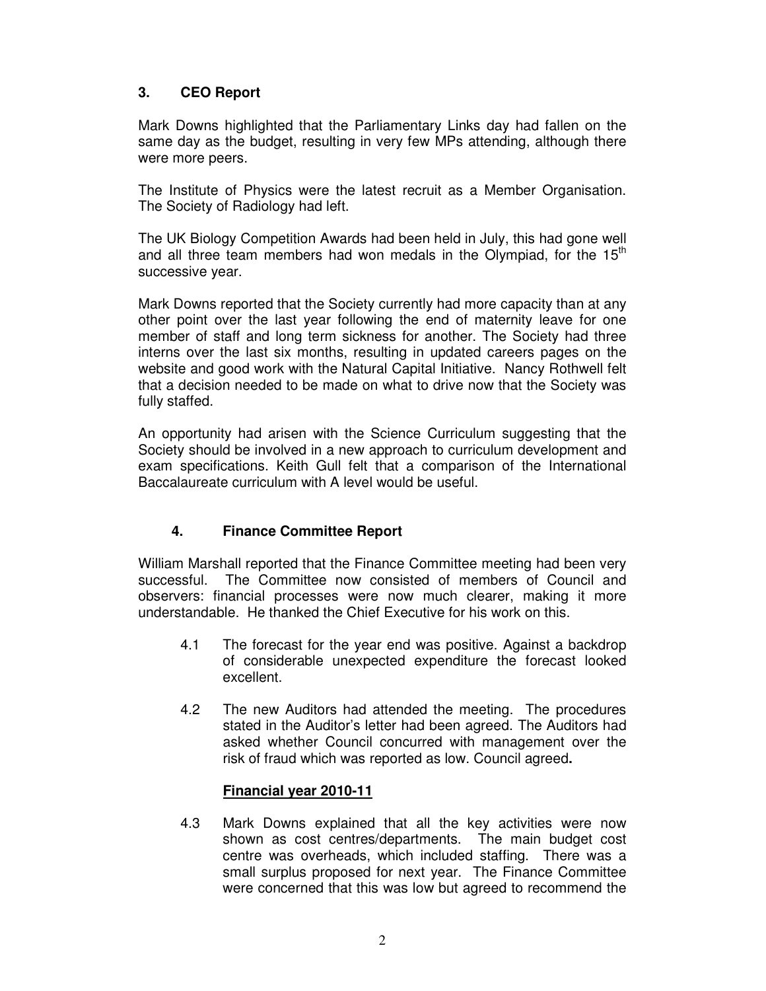### **3. CEO Report**

Mark Downs highlighted that the Parliamentary Links day had fallen on the same day as the budget, resulting in very few MPs attending, although there were more peers.

The Institute of Physics were the latest recruit as a Member Organisation. The Society of Radiology had left.

The UK Biology Competition Awards had been held in July, this had gone well and all three team members had won medals in the Olympiad, for the  $15<sup>th</sup>$ successive year.

Mark Downs reported that the Society currently had more capacity than at any other point over the last year following the end of maternity leave for one member of staff and long term sickness for another. The Society had three interns over the last six months, resulting in updated careers pages on the website and good work with the Natural Capital Initiative. Nancy Rothwell felt that a decision needed to be made on what to drive now that the Society was fully staffed.

An opportunity had arisen with the Science Curriculum suggesting that the Society should be involved in a new approach to curriculum development and exam specifications. Keith Gull felt that a comparison of the International Baccalaureate curriculum with A level would be useful.

### **4. Finance Committee Report**

William Marshall reported that the Finance Committee meeting had been very successful. The Committee now consisted of members of Council and observers: financial processes were now much clearer, making it more understandable. He thanked the Chief Executive for his work on this.

- 4.1 The forecast for the year end was positive. Against a backdrop of considerable unexpected expenditure the forecast looked excellent.
- 4.2 The new Auditors had attended the meeting. The procedures stated in the Auditor's letter had been agreed. The Auditors had asked whether Council concurred with management over the risk of fraud which was reported as low. Council agreed**.**

### **Financial year 2010-11**

4.3 Mark Downs explained that all the key activities were now shown as cost centres/departments. The main budget cost centre was overheads, which included staffing. There was a small surplus proposed for next year. The Finance Committee were concerned that this was low but agreed to recommend the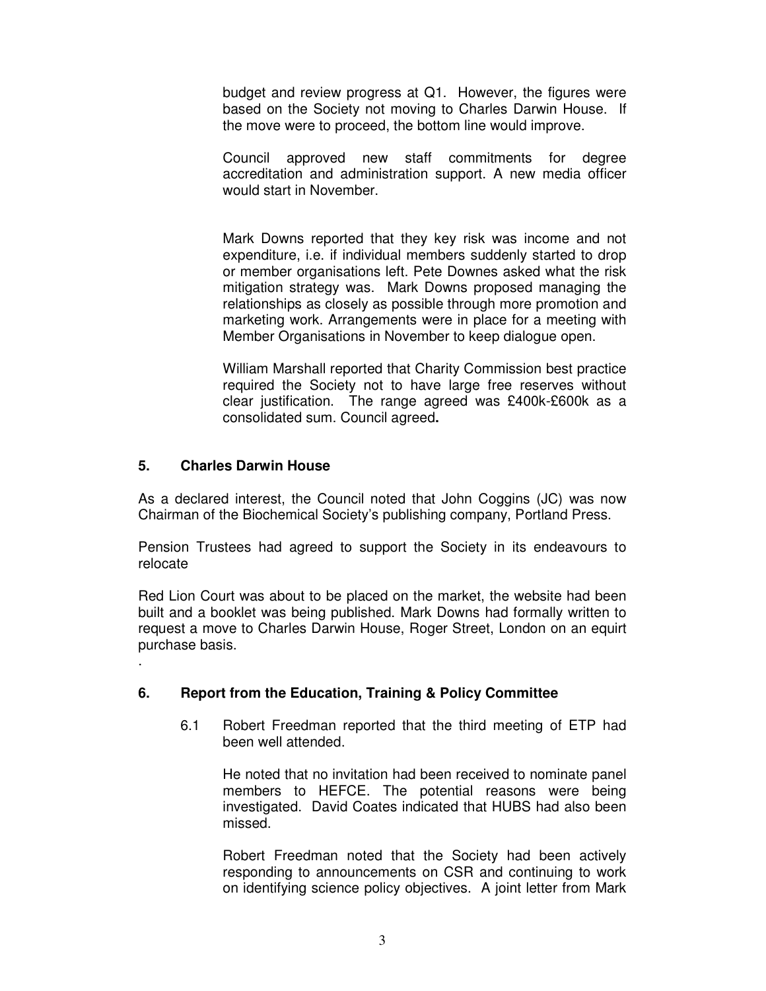budget and review progress at Q1. However, the figures were based on the Society not moving to Charles Darwin House. If the move were to proceed, the bottom line would improve.

Council approved new staff commitments for degree accreditation and administration support. A new media officer would start in November.

Mark Downs reported that they key risk was income and not expenditure, i.e. if individual members suddenly started to drop or member organisations left. Pete Downes asked what the risk mitigation strategy was. Mark Downs proposed managing the relationships as closely as possible through more promotion and marketing work. Arrangements were in place for a meeting with Member Organisations in November to keep dialogue open.

William Marshall reported that Charity Commission best practice required the Society not to have large free reserves without clear justification. The range agreed was £400k-£600k as a consolidated sum. Council agreed**.**

#### **5. Charles Darwin House**

.

As a declared interest, the Council noted that John Coggins (JC) was now Chairman of the Biochemical Society's publishing company, Portland Press.

Pension Trustees had agreed to support the Society in its endeavours to relocate

Red Lion Court was about to be placed on the market, the website had been built and a booklet was being published. Mark Downs had formally written to request a move to Charles Darwin House, Roger Street, London on an equirt purchase basis.

#### **6. Report from the Education, Training & Policy Committee**

6.1 Robert Freedman reported that the third meeting of ETP had been well attended.

He noted that no invitation had been received to nominate panel members to HEFCE. The potential reasons were being investigated. David Coates indicated that HUBS had also been missed.

Robert Freedman noted that the Society had been actively responding to announcements on CSR and continuing to work on identifying science policy objectives. A joint letter from Mark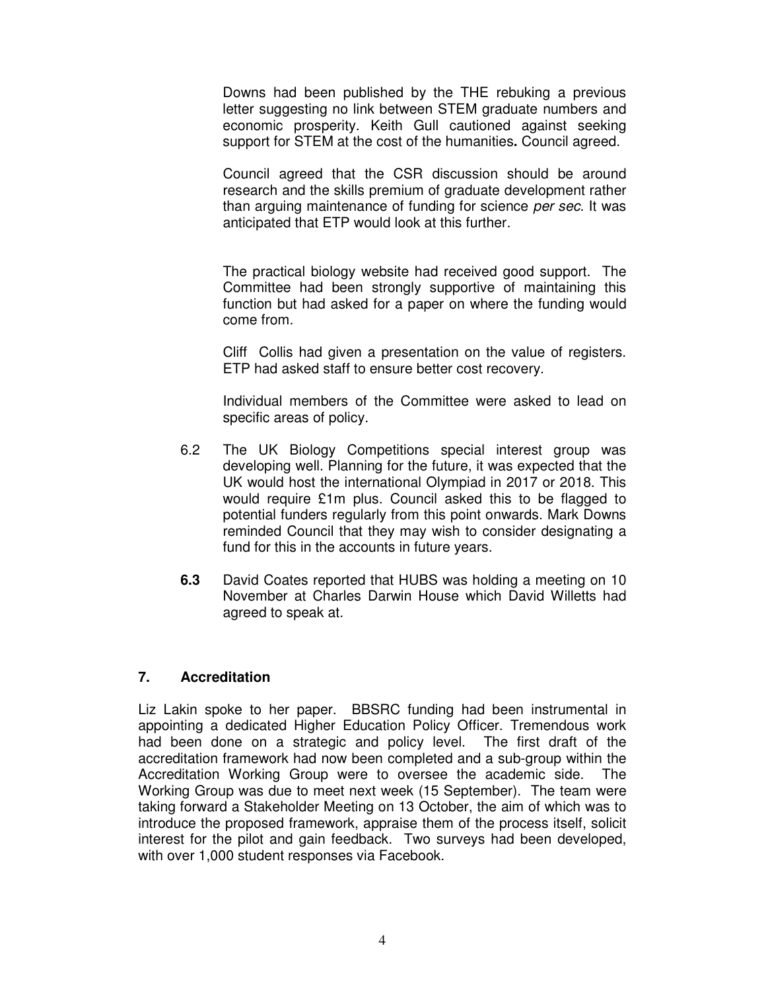Downs had been published by the THE rebuking a previous letter suggesting no link between STEM graduate numbers and economic prosperity. Keith Gull cautioned against seeking support for STEM at the cost of the humanities**.** Council agreed.

Council agreed that the CSR discussion should be around research and the skills premium of graduate development rather than arguing maintenance of funding for science per sec. It was anticipated that ETP would look at this further.

The practical biology website had received good support. The Committee had been strongly supportive of maintaining this function but had asked for a paper on where the funding would come from.

Cliff Collis had given a presentation on the value of registers. ETP had asked staff to ensure better cost recovery.

Individual members of the Committee were asked to lead on specific areas of policy.

- 6.2 The UK Biology Competitions special interest group was developing well. Planning for the future, it was expected that the UK would host the international Olympiad in 2017 or 2018. This would require £1m plus. Council asked this to be flagged to potential funders regularly from this point onwards. Mark Downs reminded Council that they may wish to consider designating a fund for this in the accounts in future years.
- **6.3** David Coates reported that HUBS was holding a meeting on 10 November at Charles Darwin House which David Willetts had agreed to speak at.

#### **7. Accreditation**

Liz Lakin spoke to her paper. BBSRC funding had been instrumental in appointing a dedicated Higher Education Policy Officer. Tremendous work had been done on a strategic and policy level. The first draft of the accreditation framework had now been completed and a sub-group within the Accreditation Working Group were to oversee the academic side. The Working Group was due to meet next week (15 September). The team were taking forward a Stakeholder Meeting on 13 October, the aim of which was to introduce the proposed framework, appraise them of the process itself, solicit interest for the pilot and gain feedback. Two surveys had been developed, with over 1,000 student responses via Facebook.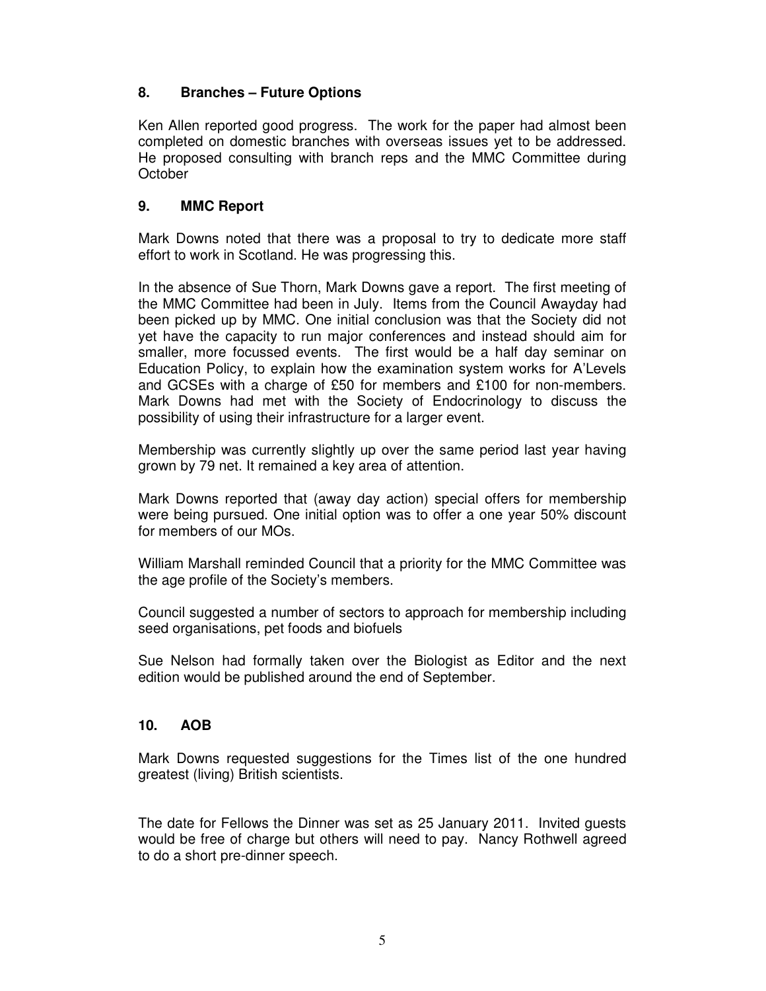### **8. Branches – Future Options**

Ken Allen reported good progress. The work for the paper had almost been completed on domestic branches with overseas issues yet to be addressed. He proposed consulting with branch reps and the MMC Committee during **October** 

#### **9. MMC Report**

Mark Downs noted that there was a proposal to try to dedicate more staff effort to work in Scotland. He was progressing this.

In the absence of Sue Thorn, Mark Downs gave a report. The first meeting of the MMC Committee had been in July. Items from the Council Awayday had been picked up by MMC. One initial conclusion was that the Society did not yet have the capacity to run major conferences and instead should aim for smaller, more focussed events. The first would be a half day seminar on Education Policy, to explain how the examination system works for A'Levels and GCSEs with a charge of £50 for members and £100 for non-members. Mark Downs had met with the Society of Endocrinology to discuss the possibility of using their infrastructure for a larger event.

Membership was currently slightly up over the same period last year having grown by 79 net. It remained a key area of attention.

Mark Downs reported that (away day action) special offers for membership were being pursued. One initial option was to offer a one year 50% discount for members of our MOs.

William Marshall reminded Council that a priority for the MMC Committee was the age profile of the Society's members.

Council suggested a number of sectors to approach for membership including seed organisations, pet foods and biofuels

Sue Nelson had formally taken over the Biologist as Editor and the next edition would be published around the end of September.

### **10. AOB**

Mark Downs requested suggestions for the Times list of the one hundred greatest (living) British scientists.

The date for Fellows the Dinner was set as 25 January 2011. Invited guests would be free of charge but others will need to pay. Nancy Rothwell agreed to do a short pre-dinner speech.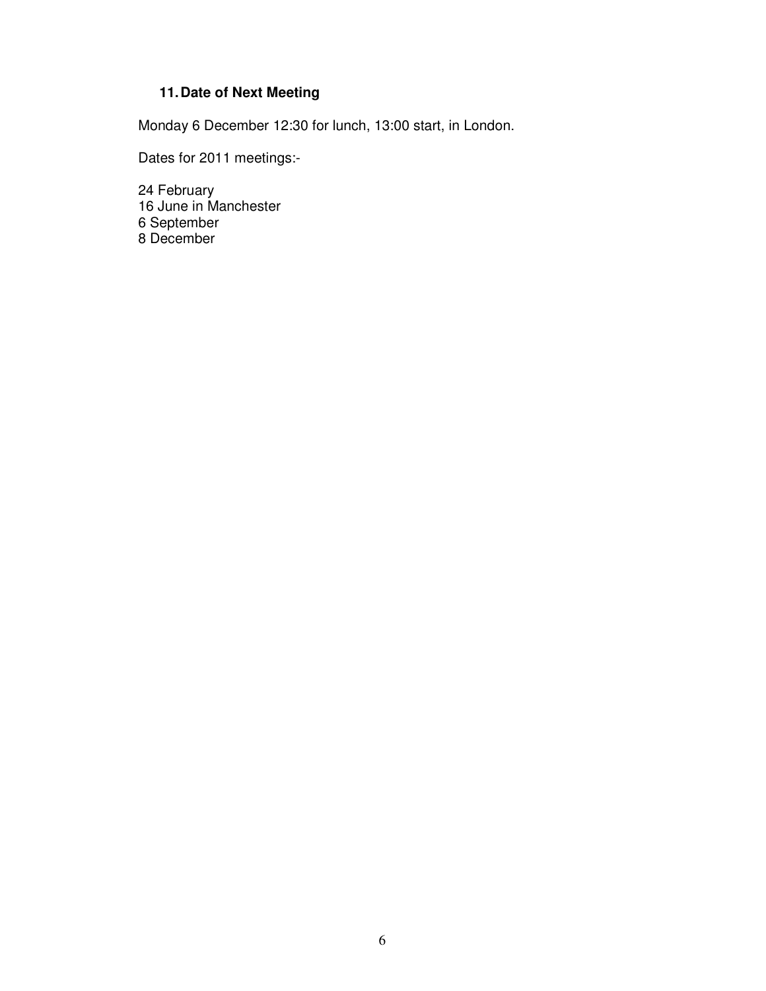# **11. Date of Next Meeting**

Monday 6 December 12:30 for lunch, 13:00 start, in London.

Dates for 2011 meetings:-

24 February 16 June in Manchester 6 September 8 December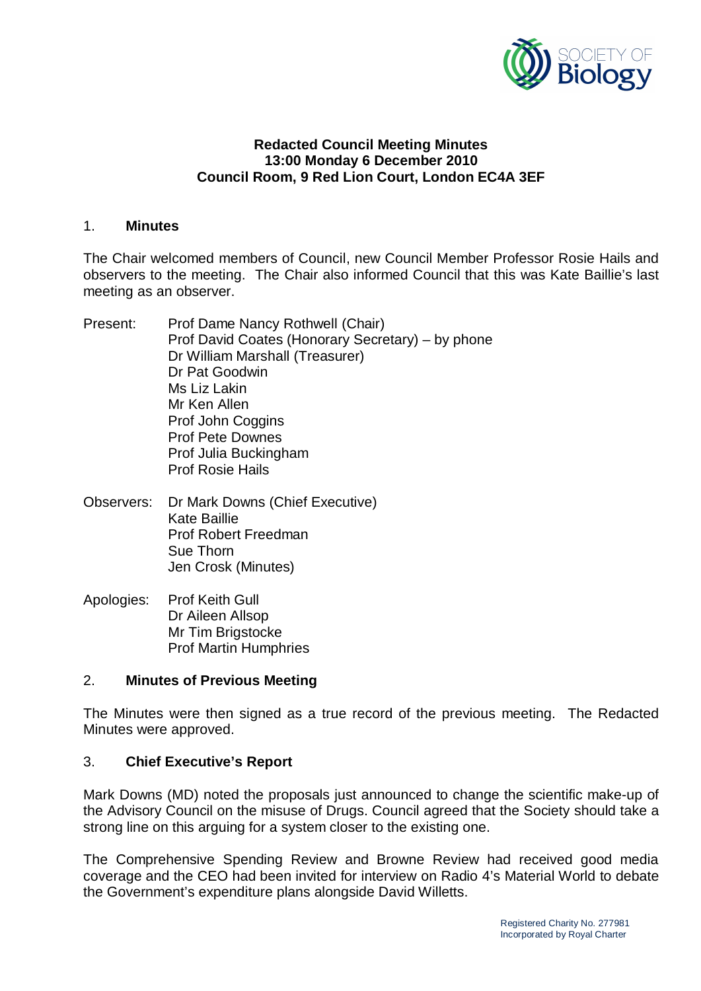

### **Redacted Council Meeting Minutes 13:00 Monday 6 December 2010 Council Room, 9 Red Lion Court, London EC4A 3EF**

#### 1. **Minutes**

The Chair welcomed members of Council, new Council Member Professor Rosie Hails and observers to the meeting. The Chair also informed Council that this was Kate Baillie's last meeting as an observer.

- Present: Prof Dame Nancy Rothwell (Chair) Prof David Coates (Honorary Secretary) – by phone Dr William Marshall (Treasurer) Dr Pat Goodwin Ms Liz Lakin Mr Ken Allen Prof John Coggins Prof Pete Downes Prof Julia Buckingham Prof Rosie Hails
- Observers: Dr Mark Downs (Chief Executive) Kate Baillie Prof Robert Freedman Sue Thorn Jen Crosk (Minutes)
- Apologies: Prof Keith Gull Dr Aileen Allsop Mr Tim Brigstocke Prof Martin Humphries

### 2. **Minutes of Previous Meeting**

The Minutes were then signed as a true record of the previous meeting. The Redacted Minutes were approved.

### 3. **Chief Executive's Report**

Mark Downs (MD) noted the proposals just announced to change the scientific make-up of the Advisory Council on the misuse of Drugs. Council agreed that the Society should take a strong line on this arguing for a system closer to the existing one.

The Comprehensive Spending Review and Browne Review had received good media coverage and the CEO had been invited for interview on Radio 4's Material World to debate the Government's expenditure plans alongside David Willetts.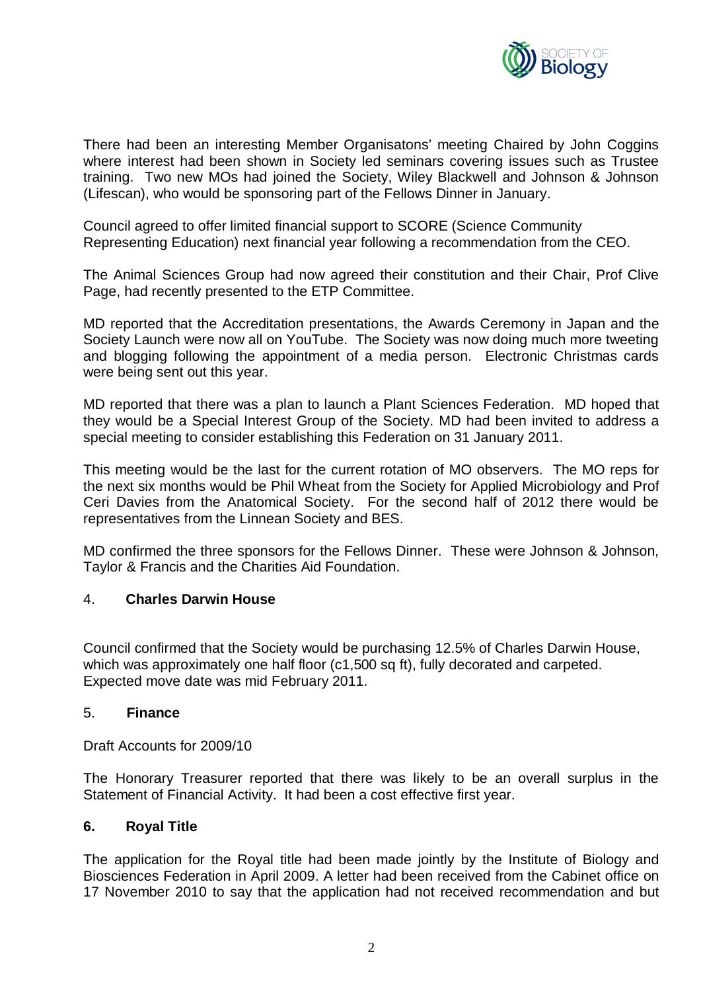

There had been an interesting Member Organisatons' meeting Chaired by John Coggins where interest had been shown in Society led seminars covering issues such as Trustee training. Two new MOs had joined the Society, Wiley Blackwell and Johnson & Johnson (Lifescan), who would be sponsoring part of the Fellows Dinner in January.

Council agreed to offer limited financial support to SCORE (Science Community Representing Education) next financial year following a recommendation from the CEO.

The Animal Sciences Group had now agreed their constitution and their Chair, Prof Clive Page, had recently presented to the ETP Committee.

MD reported that the Accreditation presentations, the Awards Ceremony in Japan and the Society Launch were now all on YouTube. The Society was now doing much more tweeting and blogging following the appointment of a media person. Electronic Christmas cards were being sent out this year.

MD reported that there was a plan to launch a Plant Sciences Federation. MD hoped that they would be a Special Interest Group of the Society. MD had been invited to address a special meeting to consider establishing this Federation on 31 January 2011.

This meeting would be the last for the current rotation of MO observers. The MO reps for the next six months would be Phil Wheat from the Society for Applied Microbiology and Prof Ceri Davies from the Anatomical Society. For the second half of 2012 there would be representatives from the Linnean Society and BES.

MD confirmed the three sponsors for the Fellows Dinner. These were Johnson & Johnson, Taylor & Francis and the Charities Aid Foundation.

### 4. **Charles Darwin House**

Council confirmed that the Society would be purchasing 12.5% of Charles Darwin House, which was approximately one half floor (c1,500 sq ft), fully decorated and carpeted. Expected move date was mid February 2011.

#### 5. **Finance**

Draft Accounts for 2009/10

The Honorary Treasurer reported that there was likely to be an overall surplus in the Statement of Financial Activity. It had been a cost effective first year.

#### **6. Royal Title**

The application for the Royal title had been made jointly by the Institute of Biology and Biosciences Federation in April 2009. A letter had been received from the Cabinet office on 17 November 2010 to say that the application had not received recommendation and but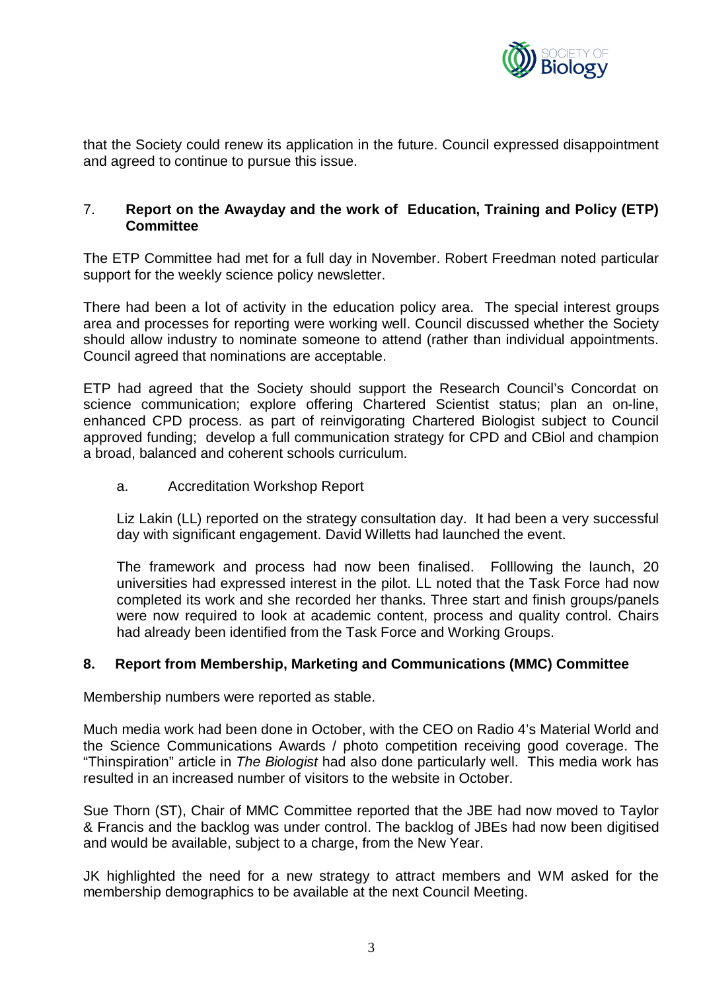

that the Society could renew its application in the future. Council expressed disappointment and agreed to continue to pursue this issue.

### 7. **Report on the Awayday and the work of Education, Training and Policy (ETP) Committee**

The ETP Committee had met for a full day in November. Robert Freedman noted particular support for the weekly science policy newsletter.

There had been a lot of activity in the education policy area. The special interest groups area and processes for reporting were working well. Council discussed whether the Society should allow industry to nominate someone to attend (rather than individual appointments. Council agreed that nominations are acceptable.

ETP had agreed that the Society should support the Research Council's Concordat on science communication; explore offering Chartered Scientist status; plan an on-line, enhanced CPD process. as part of reinvigorating Chartered Biologist subject to Council approved funding; develop a full communication strategy for CPD and CBiol and champion a broad, balanced and coherent schools curriculum.

a. Accreditation Workshop Report

Liz Lakin (LL) reported on the strategy consultation day. It had been a very successful day with significant engagement. David Willetts had launched the event.

The framework and process had now been finalised. Folllowing the launch, 20 universities had expressed interest in the pilot. LL noted that the Task Force had now completed its work and she recorded her thanks. Three start and finish groups/panels were now required to look at academic content, process and quality control. Chairs had already been identified from the Task Force and Working Groups.

### **8. Report from Membership, Marketing and Communications (MMC) Committee**

Membership numbers were reported as stable.

Much media work had been done in October, with the CEO on Radio 4's Material World and the Science Communications Awards / photo competition receiving good coverage. The "Thinspiration" article in *The Biologist* had also done particularly well. This media work has resulted in an increased number of visitors to the website in October.

Sue Thorn (ST), Chair of MMC Committee reported that the JBE had now moved to Taylor & Francis and the backlog was under control. The backlog of JBEs had now been digitised and would be available, subject to a charge, from the New Year.

JK highlighted the need for a new strategy to attract members and WM asked for the membership demographics to be available at the next Council Meeting.